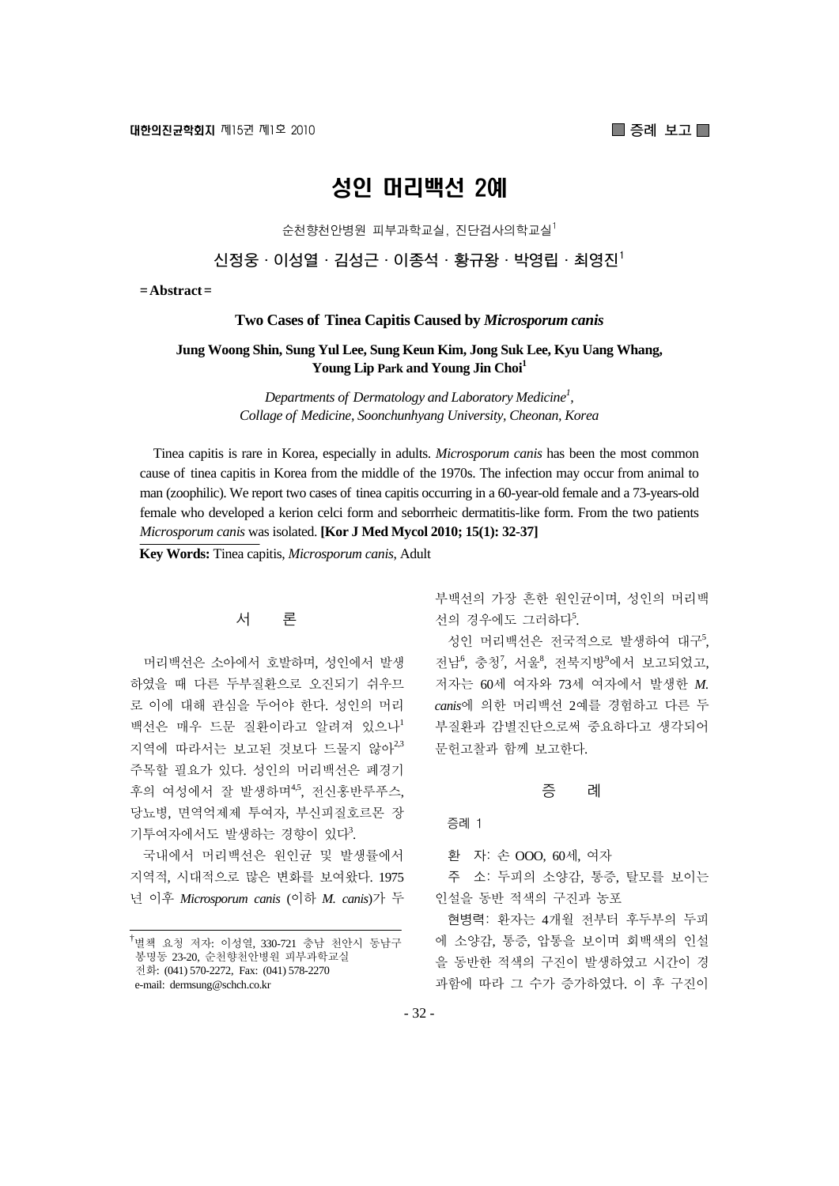**■ 증례 보고**■

# 성인 머리백선 2예

순천향천안병원 피부과학교실, 진단검사의학교실1

**신정웅·이성열·김성근·이종석·황규왕·박영립·최영진1**

**= Abstract =** 

#### **Two Cases of Tinea Capitis Caused by** *Microsporum canis*

## **Jung Woong Shin, Sung Yul Lee, Sung Keun Kim, Jong Suk Lee, Kyu Uang Whang, Young Lip Park and Young Jin Choi1**

*Departments of Dermatology and Laboratory Medicine1 , Collage of Medicine, Soonchunhyang University, Cheonan, Korea*

Tinea capitis is rare in Korea, especially in adults. *Microsporum canis* has been the most common cause of tinea capitis in Korea from the middle of the 1970s. The infection may occur from animal to man (zoophilic). We report two cases of tinea capitis occurring in a 60-year-old female and a 73-years-old female who developed a kerion celci form and seborrheic dermatitis-like form. From the two patients *Microsporum canis* was isolated. **[Kor J Med Mycol 2010; 15(1): 32-37]**

**Key Words:** Tinea capitis, *Microsporum canis*, Adult

# 서 론

머리백선은 소아에서 호발하며, 성인에서 발생 하였을 때 다른 두부질환으로 오진되기 쉬우므 로 이에 대해 관심을 두어야 한다. 성인의 머리 백선은 매우 드문 질환이라고 알려져 있으나 $^1$ 지역에 따라서는 보고된 것보다 드물지 않아<sup>2,3</sup> 주목할 필요가 있다. 성인의 머리백선은 폐경기 후의 여성에서 잘 발생하며<sup>45</sup>, 전신홍반루푸스, 당뇨병, 면역억제제 투여자, 부신피질호르몬 장 기투여자에서도 발생하는 경향이 있다<sup>3</sup>.

국내에서 머리백선은 원인균 및 발생률에서 지역적, 시대적으로 많은 변화를 보여왔다. 1975 년 이후 *Microsporum canis* (이하 *M. canis*)가 두 부백선의 가장 흔한 원인균이며, 성인의 머리백 선의 경우에도 그러하다<sup>5</sup>.

성인 머리백선은 전국적으로 발생하여 대구5, 전남<sup>6</sup>, 충청<sup>7</sup>, 서울<sup>8</sup>, 전북지방<sup>9</sup>에서 보고되었고, 저자는 60세 여자와 73세 여자에서 발생한 *M. canis*에 의한 머리백선 2예를 경험하고 다른 두 부질환과 감별진단으로써 중요하다고 생각되어 문헌고찰과 함께 보고한다.

#### 증 례

증례 1

환 자: 손 OOO, 60세, 여자

주 소: 두피의 소양감, 통증, 탈모를 보이는 인설을 동반 적색의 구진과 농포

현병력: 환자는 4개월 전부터 후두부의 두피 에 소양감, 통증, 압통을 보이며 회백색의 인설 을 동반한 적색의 구진이 발생하였고 시간이 경 과함에 따라 그 수가 증가하였다. 이 후 구진이

<sup>&</sup>lt;sup>†</sup>별책 요청 저자: 이성열, 330-721 충남 천안시 동남구 봉명동 23-20, 순천향천안병원 피부과학교실 전화: (041) 570-2272, Fax: (041) 578-2270 e-mail: dermsung@schch.co.kr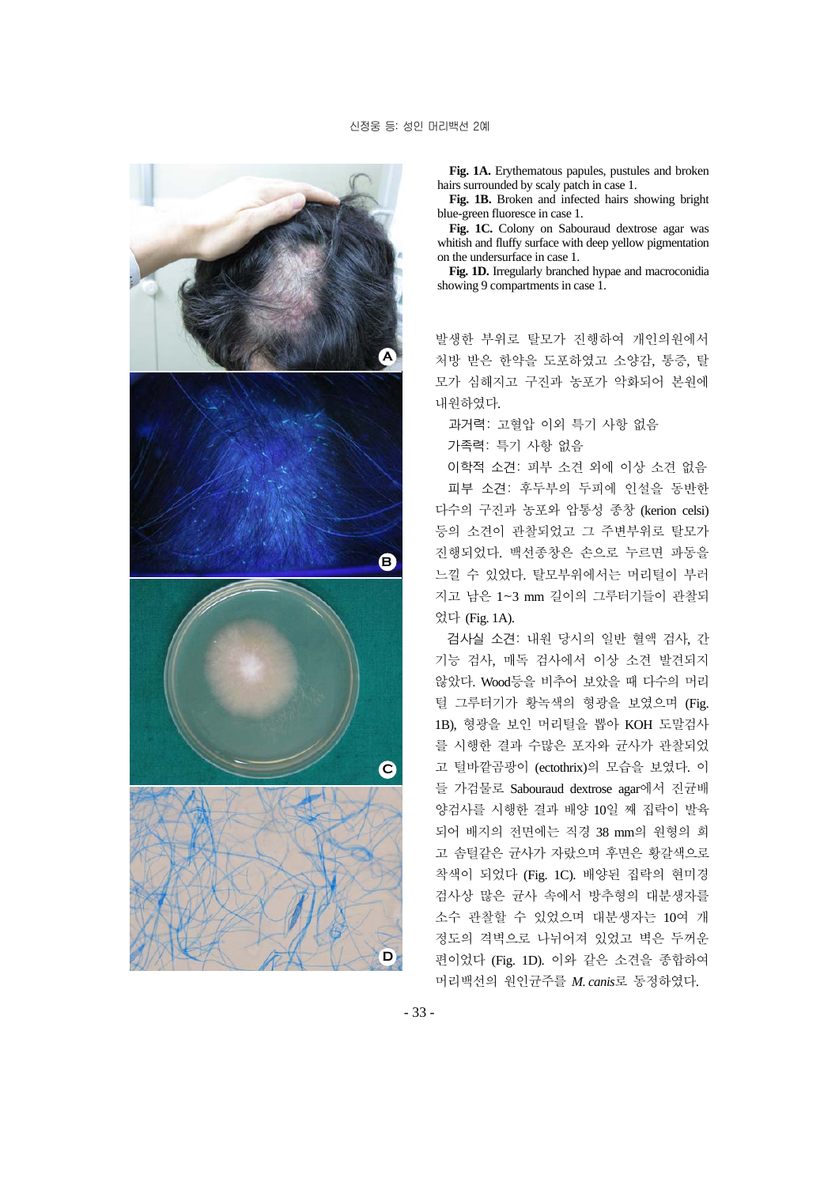

**Fig. 1A.** Erythematous papules, pustules and broken hairs surrounded by scaly patch in case 1.

**Fig. 1B.** Broken and infected hairs showing bright blue-green fluoresce in case 1.

**Fig. 1C.** Colony on Sabouraud dextrose agar was whitish and fluffy surface with deep yellow pigmentation on the undersurface in case 1.

**Fig. 1D.** Irregularly branched hypae and macroconidia showing 9 compartments in case 1.

발생한 부위로 탈모가 진행하여 개인의원에서 처방 받은 한약을 도포하였고 소양감, 통증, 탈 모가 심해지고 구진과 농포가 악화되어 본원에 내원하였다.

과거력: 고혈압 이외 특기 사항 없음

가족력: 특기 사항 없음

이학적 소견: 피부 소견 외에 이상 소견 없음 피부 소견: 후두부의 두피에 인설을 동반한 다수의 구진과 농포와 압통성 종창 (kerion celsi) 등의 소견이 관찰되었고 그 주변부위로 탈모가 진행되었다. 백선종창은 손으로 누르면 파동을 느낄 수 있었다. 탈모부위에서는 머리털이 부러 지고 남은 1~3 mm 길이의 그루터기들이 관찰되 었다 (Fig. 1A).

검사실 소견: 내원 당시의 일반 혈액 검사, 간 기능 검사, 매독 검사에서 이상 소견 발견되지 않았다. Wood등을 비추어 보았을 때 다수의 머리 털 그루터기가 황녹색의 형광을 보였으며 (Fig. 1B), 형광을 보인 머리털을 뽑아 KOH 도말검사 를 시행한 결과 수많은 포자와 균사가 관찰되었 고 털바깥곰팡이 (ectothrix)의 모습을 보였다. 이 들 가검물로 Sabouraud dextrose agar에서 진균배 양검사를 시행한 결과 배양 10일 째 집락이 발육 되어 배지의 전면에는 직경 38 mm의 원형의 희 고 솜털같은 균사가 자랐으며 후면은 황갈색으로 착색이 되었다 (Fig. 1C). 배양된 집락의 현미경 검사상 많은 균사 속에서 방추형의 대분생자를 소수 관찰할 수 있었으며 대분생자는 10여 개 정도의 격벽으로 나뉘어져 있었고 벽은 두꺼운 편이었다 (Fig. 1D). 이와 같은 소견을 종합하여 머리백선의 원인균주를 *M. canis*로 동정하였다.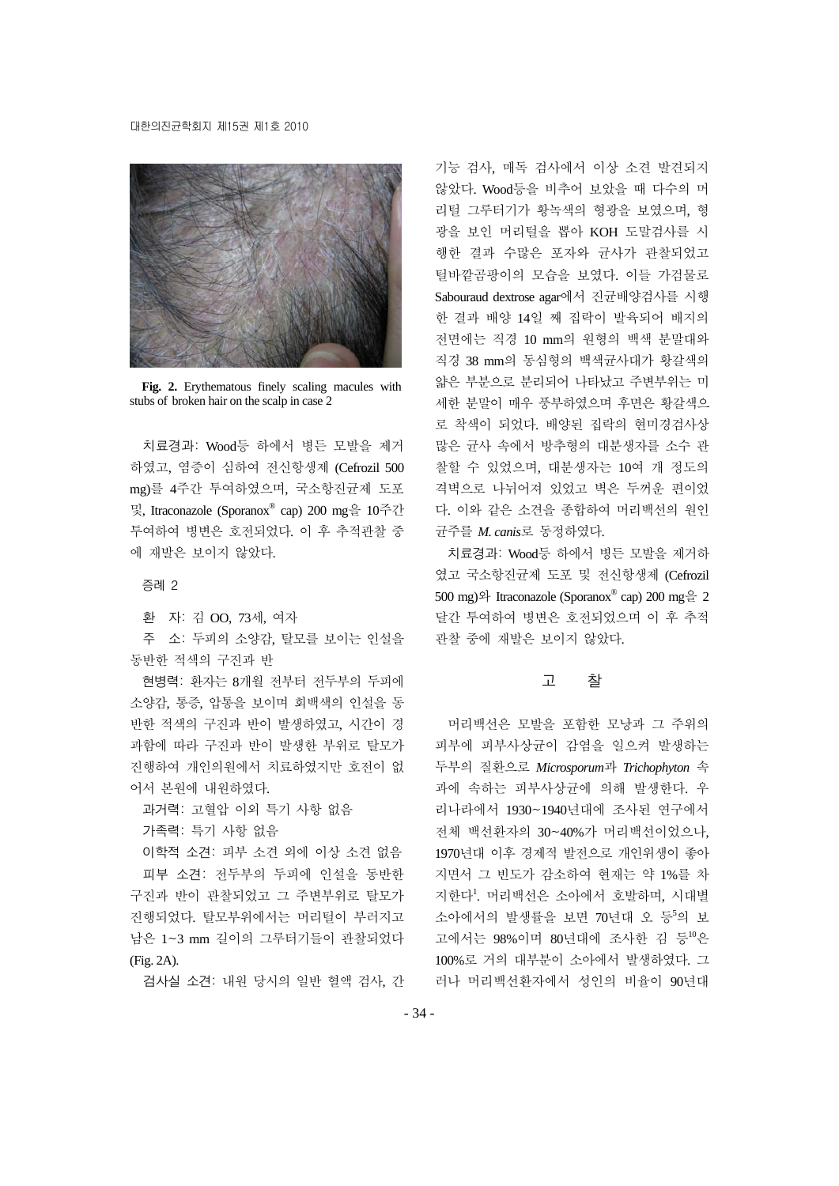#### 대한의진균학회지 제15권 제1호 2010



**Fig. 2.** Erythematous finely scaling macules with stubs of broken hair on the scalp in case 2

치료경과: Wood등 하에서 병든 모발을 제거 하였고, 염증이 심하여 전신항생제 (Cefrozil 500 mg)를 4주간 투여하였으며, 국소항진균제 도포 및, Itraconazole (Sporanox® cap) 200 mg을 10주간 투여하여 병변은 호전되었다. 이 후 추적관찰 중 에 재발은 보이지 않았다.

증례 2

환 자: 김 OO, 73세, 여자

주 소: 두피의 소양감, 탈모를 보이는 인설을 동반한 적색의 구진과 반

현병력: 환자는 8개월 전부터 전두부의 두피에 소양감, 통증, 압통을 보이며 회백색의 인설을 동 반한 적색의 구진과 반이 발생하였고, 시간이 경 과함에 따라 구진과 반이 발생한 부위로 탈모가 진행하여 개인의원에서 치료하였지만 호전이 없 어서 본원에 내원하였다.

과거력: 고혈압 이외 특기 사항 없음

가족력: 특기 사항 없음

이학적 소견: 피부 소견 외에 이상 소견 없음 피부 소견: 전두부의 두피에 인설을 동반한 구진과 반이 관찰되었고 그 주변부위로 탈모가 진행되었다. 탈모부위에서는 머리털이 부러지고 남은 1~3 mm 길이의 그루터기들이 관찰되었다 (Fig. 2A).

검사실 소견: 내원 당시의 일반 혈액 검사, 간

기능 검사, 매독 검사에서 이상 소견 발견되지 않았다. Wood등을 비추어 보았을 때 다수의 머 리털 그루터기가 황녹색의 형광을 보였으며, 형 광을 보인 머리털을 뽑아 KOH 도말검사를 시 행한 결과 수많은 포자와 균사가 관찰되었고 털바깥곰팡이의 모습을 보였다. 이들 가검물로 Sabouraud dextrose agar에서 진균배양검사를 시행 한 결과 배양 14일 째 집락이 발육되어 배지의 전면에는 직경 10 mm의 원형의 백색 분말대와 직경 38 mm의 동심형의 백색균사대가 황갈색의 얇은 부분으로 분리되어 나타났고 주변부위는 미 세한 분말이 매우 풍부하였으며 후면은 황갈색으 로 착색이 되었다. 배양된 집락의 현미경검사상 많은 균사 속에서 방추형의 대분생자를 소수 관 찰할 수 있었으며, 대분생자는 10여 개 정도의 격벽으로 나뉘어져 있었고 벽은 두꺼운 편이었 다. 이와 같은 소견을 종합하여 머리백선의 원인 균주를 *M. canis*로 동정하였다.

치료경과: Wood등 하에서 병든 모발을 제거하 였고 국소항진균제 도포 및 전신항생제 (Cefrozil 500 mg)와 Itraconazole (Sporanox® cap) 200 mg을 2 달간 투여하여 병변은 호전되었으며 이 후 추적 관찰 중에 재발은 보이지 않았다.

## 고 찰

머리백선은 모발을 포함한 모낭과 그 주위의 피부에 피부사상균이 감염을 일으켜 발생하는 두부의 질환으로 *Microsporum*과 *Trichophyton* 속 과에 속하는 피부사상균에 의해 발생한다. 우 리나라에서 1930~1940년대에 조사된 연구에서 전체 백선환자의 30~40%가 머리백선이었으나, 1970년대 이후 경제적 발전으로 개인위생이 좋아 지면서 그 빈도가 감소하여 현재는 약 1%를 차 지한다<sup>1</sup> . 머리백선은 소아에서 호발하며, 시대별 소아에서의 발생률을 보면 70년대 오 등5의 보 고에서는 98%이며 80년대에 조사한 김 등<sup>10</sup>은 100%로 거의 대부분이 소아에서 발생하였다. 그 러나 머리백선환자에서 성인의 비율이 90년대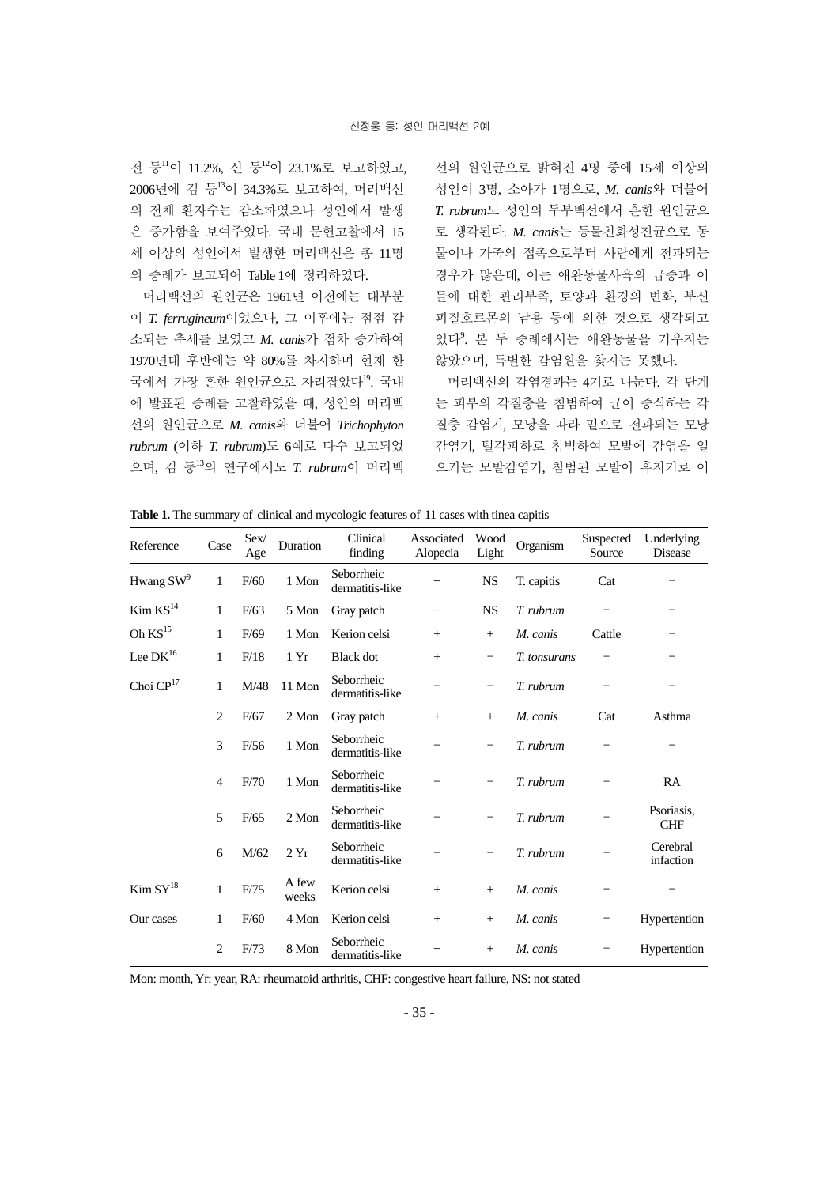전 등<sup>11</sup>이 11.2%, 신 등<sup>12</sup>이 23.1%로 보고하였고, 2006년에 김 등<sup>13</sup>이 34.3%로 보고하여, 머리백선 의 전체 환자수는 감소하였으나 성인에서 발생 은 증가함을 보여주었다. 국내 문헌고찰에서 15 세 이상의 성인에서 발생한 머리백선은 총 11명 의 증례가 보고되어 Table 1에 정리하였다.

머리백선의 원인균은 1961년 이전에는 대부분 이 *T. ferrugineum*이었으나, 그 이후에는 점점 감 소되는 추세를 보였고 *M. canis*가 점차 증가하여 1970년대 후반에는 약 80%를 차지하며 현재 한 국에서 가장 흔한 원인균으로 자리잡았다<sup>19</sup>. 국내 에 발표된 증례를 고찰하였을 때, 성인의 머리백 선의 원인균으로 *M. canis*와 더불어 *Trichophyton rubrum* (이하 *T. rubrum*)도 6예로 다수 보고되었 으며, 김 등<sup>13</sup>의 연구에서도 *T. rubrum*이 머리백

선의 원인균으로 밝혀진 4명 중에 15세 이상의 성인이 3명, 소아가 1명으로, *M. canis*와 더불어 *T. rubrum*도 성인의 두부백선에서 흔한 원인균으 로 생각된다. *M. canis*는 동물친화성진균으로 동 물이나 가축의 접촉으로부터 사람에게 전파되는 경우가 많은데, 이는 애완동물사육의 급증과 이 들에 대한 관리부족, 토양과 환경의 변화, 부신 피질호르몬의 남용 등에 의한 것으로 생각되고 있다<sup>9</sup> . 본 두 증례에서는 애완동물을 키우지는 않았으며, 특별한 감염원을 찾지는 못했다.

머리백선의 감염경과는 4기로 나눈다. 각 단계 는 피부의 각질층을 침범하여 균이 증식하는 각 질층 감염기, 모낭을 따라 밑으로 전파되는 모낭 감염기, 털각피하로 침범하여 모발에 감염을 일 으키는 모발감염기, 침범된 모발이 휴지기로 이

| Reference               | Case           | Sex/<br>Age | Duration       | Clinical<br>finding           | Associated<br>Alopecia | Wood<br>Light | Organism     | Suspected<br>Source | Underlying<br>Disease    |
|-------------------------|----------------|-------------|----------------|-------------------------------|------------------------|---------------|--------------|---------------------|--------------------------|
| Hwang $SW^9$            | 1              | F/60        | 1 Mon          | Seborrheic<br>dermatitis-like | $+$                    | <b>NS</b>     | T. capitis   | Cat                 |                          |
| Kim KS <sup>14</sup>    | 1              | F/63        | 5 Mon          | Gray patch                    | $+$                    | <b>NS</b>     | T. rubrum    |                     |                          |
| Oh $KS$ <sup>15</sup>   | 1              | F/69        | 1 Mon          | Kerion celsi                  | $+$                    | $+$           | M. canis     | Cattle              |                          |
| Lee $DK^{16}$           | 1              | F/18        | 1Yr            | <b>Black</b> dot              | $+$                    |               | T. tonsurans |                     |                          |
| Choi $\mathbf{CP}^{17}$ | 1              | M/48        | 11 Mon         | Seborrheic<br>dermatitis-like |                        |               | T. rubrum    |                     |                          |
|                         | $\overline{c}$ | F/67        | 2 Mon          | Gray patch                    | $+$                    | $^{+}$        | M. canis     | Cat                 | Asthma                   |
|                         | 3              | F/56        | 1 Mon          | Seborrheic<br>dermatitis-like |                        |               | T. rubrum    |                     |                          |
|                         | $\overline{4}$ | F/70        | 1 Mon          | Seborrheic<br>dermatitis-like |                        |               | T. rubrum    |                     | RA                       |
|                         | 5              | F/65        | 2 Mon          | Seborrheic<br>dermatitis-like |                        |               | T. rubrum    |                     | Psoriasis.<br><b>CHF</b> |
|                         | 6              | M/62        | 2Yr            | Seborrheic<br>dermatitis-like |                        |               | T. rubrum    |                     | Cerebral<br>infaction    |
| Kim SY <sup>18</sup>    | $\mathbf{1}$   | F/75        | A few<br>weeks | Kerion celsi                  | $+$                    | $^{+}$        | M. canis     |                     |                          |
| Our cases               | 1              | F/60        | 4 Mon          | Kerion celsi                  | $^{+}$                 | $^{+}$        | M. canis     |                     | Hypertention             |
|                         | $\overline{2}$ | F/73        | 8 Mon          | Seborrheic<br>dermatitis-like | $^+$                   | $^{+}$        | M. canis     |                     | Hypertention             |

**Table 1.** The summary of clinical and mycologic features of 11 cases with tinea capitis

Mon: month, Yr: year, RA: rheumatoid arthritis, CHF: congestive heart failure, NS: not stated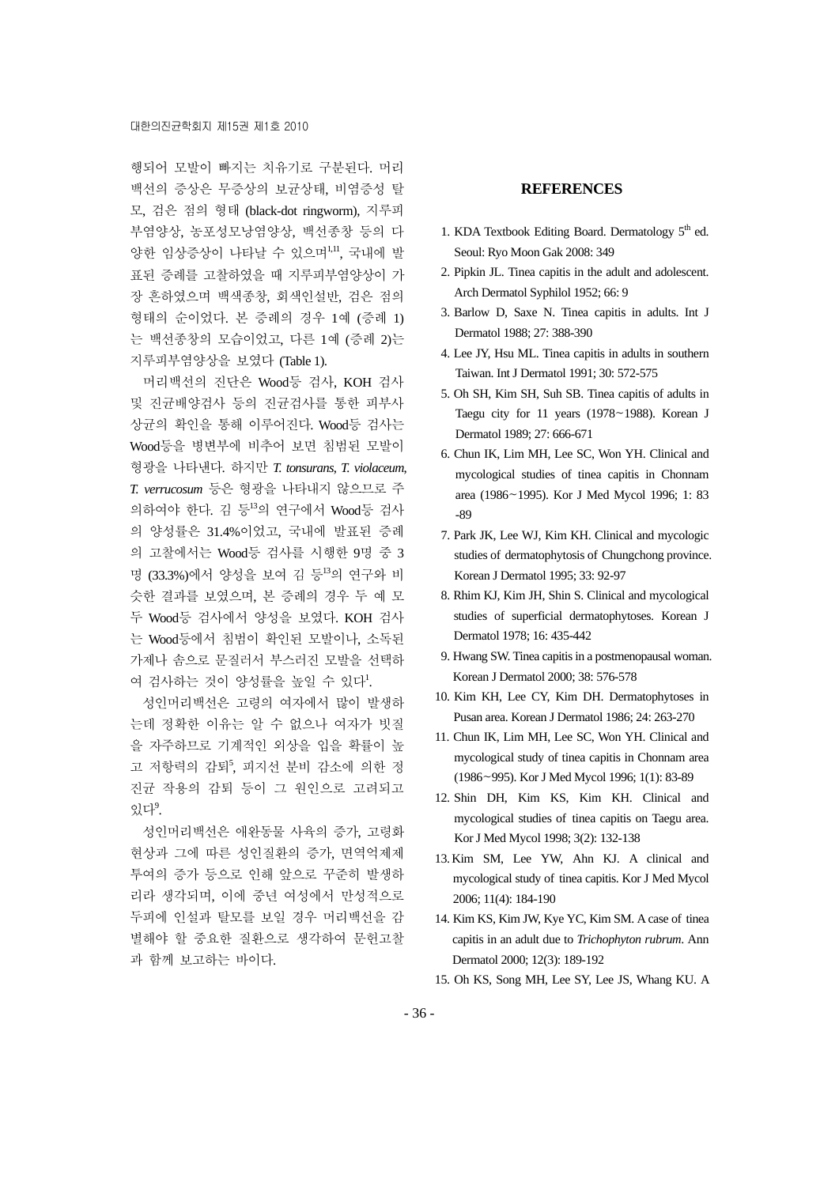행되어 모발이 빠지는 치유기로 구분된다. 머리 백선의 증상은 무증상의 보균상태, 비염증성 탈 모, 검은 점의 형태 (black-dot ringworm), 지루피 부염양상, 농포성모낭염양상, 백선종창 등의 다 양한 임상증상이 나타날 수 있으며 ..! 국내에 발 표된 증례를 고찰하였을 때 지루피부염양상이 가 장 흔하였으며 백색종창, 회색인설반, 검은 점의 형태의 순이었다. 본 증례의 경우 1예 (증례 1) 는 백선종창의 모습이었고, 다른 1예 (증례 2)는 지루피부염양상을 보였다 (Table 1).

머리백선의 진단은 Wood등 검사, KOH 검사 및 진균배양검사 등의 진균검사를 통한 피부사 상균의 확인을 통해 이루어진다. Wood등 검사는 Wood등을 병변부에 비추어 보면 침범된 모발이 형광을 나타낸다. 하지만 *T. tonsurans*, *T. violaceum*, *T. verrucosum* 등은 형광을 나타내지 않으므로 주 의하여야 한다. 김 등<sup>13</sup>의 연구에서 Wood등 검사 의 양성률은 31.4%이었고, 국내에 발표된 증례 의 고찰에서는 Wood등 검사를 시행한 9명 중 3 명 (33.3%)에서 양성을 보여 김 등<sup>13</sup>의 연구와 비 슷한 결과를 보였으며, 본 증례의 경우 두 예 모 두 Wood등 검사에서 양성을 보였다. KOH 검사 는 Wood등에서 침범이 확인된 모발이나, 소독된 가제나 솜으로 문질러서 부스러진 모발을 선택하 여 검사하는 것이 양성률을 높일 수 있다<sup>1</sup>.

성인머리백선은 고령의 여자에서 많이 발생하 는데 정확한 이유는 알 수 없으나 여자가 빗질 을 자주하므로 기계적인 외상을 입을 확률이 높 고 저항력의 감퇴5, 피지선 분비 감소에 의한 정 진균 작용의 감퇴 등이 그 원인으로 고려되고 있다<sup>9</sup>.

성인머리백선은 애완동물 사육의 증가, 고령화 현상과 그에 따른 성인질환의 증가, 면역억제제 투여의 증가 등으로 인해 앞으로 꾸준히 발생하 리라 생각되며, 이에 중년 여성에서 만성적으로 두피에 인설과 탈모를 보일 경우 머리백선을 감 별해야 할 중요한 질환으로 생각하여 문헌고찰 과 함께 보고하는 바이다.

#### **REFERENCES**

- 1. KDA Textbook Editing Board. Dermatology  $5<sup>th</sup>$  ed. Seoul: Ryo Moon Gak 2008: 349
- 2. Pipkin JL. Tinea capitis in the adult and adolescent. Arch Dermatol Syphilol 1952; 66: 9
- 3. Barlow D, Saxe N. Tinea capitis in adults. Int J Dermatol 1988; 27: 388-390
- 4. Lee JY, Hsu ML. Tinea capitis in adults in southern Taiwan. Int J Dermatol 1991; 30: 572-575
- 5. Oh SH, Kim SH, Suh SB. Tinea capitis of adults in Taegu city for 11 years  $(1978~1988)$ . Korean J Dermatol 1989; 27: 666-671
- 6. Chun IK, Lim MH, Lee SC, Won YH. Clinical and mycological studies of tinea capitis in Chonnam area (1986~1995). Kor J Med Mycol 1996; 1: 83 -89
- 7. Park JK, Lee WJ, Kim KH. Clinical and mycologic studies of dermatophytosis of Chungchong province. Korean J Dermatol 1995; 33: 92-97
- 8. Rhim KJ, Kim JH, Shin S. Clinical and mycological studies of superficial dermatophytoses. Korean J Dermatol 1978; 16: 435-442
- 9. Hwang SW. Tinea capitis in a postmenopausal woman. Korean J Dermatol 2000; 38: 576-578
- 10. Kim KH, Lee CY, Kim DH. Dermatophytoses in Pusan area. Korean J Dermatol 1986; 24: 263-270
- 11. Chun IK, Lim MH, Lee SC, Won YH. Clinical and mycological study of tinea capitis in Chonnam area (1986~995). Kor J Med Mycol 1996; 1(1): 83-89
- 12. Shin DH, Kim KS, Kim KH. Clinical and mycological studies of tinea capitis on Taegu area. Kor J Med Mycol 1998; 3(2): 132-138
- 13.Kim SM, Lee YW, Ahn KJ. A clinical and mycological study of tinea capitis. Kor J Med Mycol 2006; 11(4): 184-190
- 14. Kim KS, Kim JW, Kye YC, Kim SM. A case of tinea capitis in an adult due to *Trichophyton rubrum*. Ann Dermatol 2000; 12(3): 189-192
- 15. Oh KS, Song MH, Lee SY, Lee JS, Whang KU. A